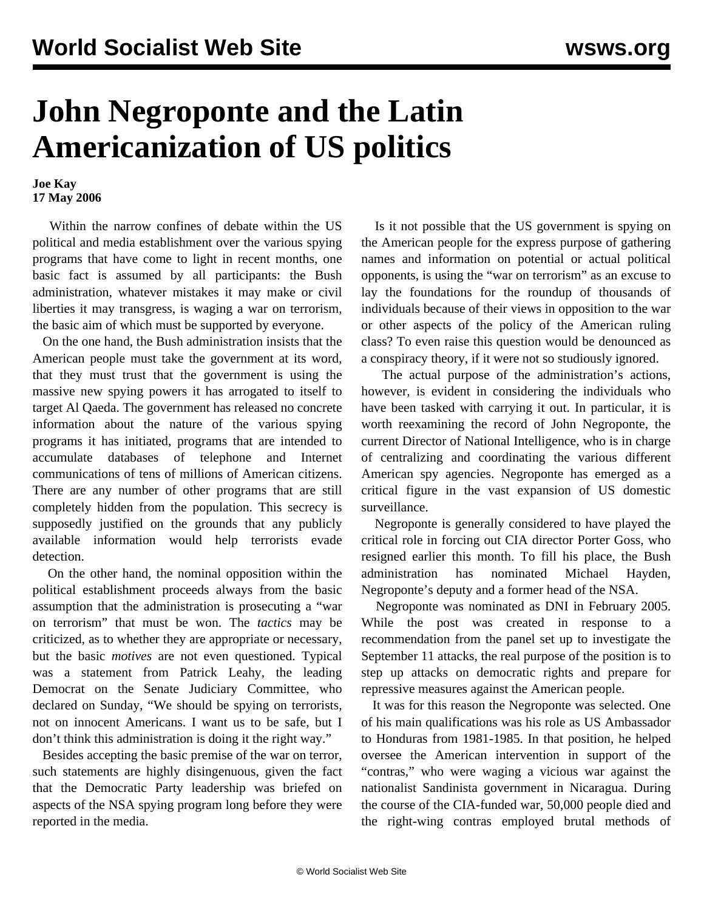## **John Negroponte and the Latin Americanization of US politics**

## **Joe Kay 17 May 2006**

 Within the narrow confines of debate within the US political and media establishment over the various spying programs that have come to light in recent months, one basic fact is assumed by all participants: the Bush administration, whatever mistakes it may make or civil liberties it may transgress, is waging a war on terrorism, the basic aim of which must be supported by everyone.

 On the one hand, the Bush administration insists that the American people must take the government at its word, that they must trust that the government is using the massive new spying powers it has arrogated to itself to target Al Qaeda. The government has released no concrete information about the nature of the various spying programs it has initiated, programs that are intended to accumulate databases of telephone and Internet communications of tens of millions of American citizens. There are any number of other programs that are still completely hidden from the population. This secrecy is supposedly justified on the grounds that any publicly available information would help terrorists evade detection.

 On the other hand, the nominal opposition within the political establishment proceeds always from the basic assumption that the administration is prosecuting a "war on terrorism" that must be won. The *tactics* may be criticized, as to whether they are appropriate or necessary, but the basic *motives* are not even questioned. Typical was a statement from Patrick Leahy, the leading Democrat on the Senate Judiciary Committee, who declared on Sunday, "We should be spying on terrorists, not on innocent Americans. I want us to be safe, but I don't think this administration is doing it the right way."

 Besides accepting the basic premise of the war on terror, such statements are highly disingenuous, given the fact that the Democratic Party leadership was briefed on aspects of the NSA spying program long before they were reported in the media.

 Is it not possible that the US government is spying on the American people for the express purpose of gathering names and information on potential or actual political opponents, is using the "war on terrorism" as an excuse to lay the foundations for the roundup of thousands of individuals because of their views in opposition to the war or other aspects of the policy of the American ruling class? To even raise this question would be denounced as a conspiracy theory, if it were not so studiously ignored.

 The actual purpose of the administration's actions, however, is evident in considering the individuals who have been tasked with carrying it out. In particular, it is worth reexamining the record of John Negroponte, the current Director of National Intelligence, who is in charge of centralizing and coordinating the various different American spy agencies. Negroponte has emerged as a critical figure in the vast expansion of US domestic surveillance.

 Negroponte is generally considered to have played the critical role in forcing out CIA director Porter Goss, who resigned earlier this month. To fill his place, the Bush administration has nominated Michael Hayden, Negroponte's deputy and a former head of the NSA.

 Negroponte was nominated as DNI in February 2005. While the post was created in response to a recommendation from the panel set up to investigate the September 11 attacks, the real purpose of the position is to step up attacks on democratic rights and prepare for repressive measures against the American people.

 It was for this reason the Negroponte was selected. One of his main qualifications was his role as US Ambassador to Honduras from 1981-1985. In that position, he helped oversee the American intervention in support of the "contras," who were waging a vicious war against the nationalist Sandinista government in Nicaragua. During the course of the CIA-funded war, 50,000 people died and the right-wing contras employed brutal methods of